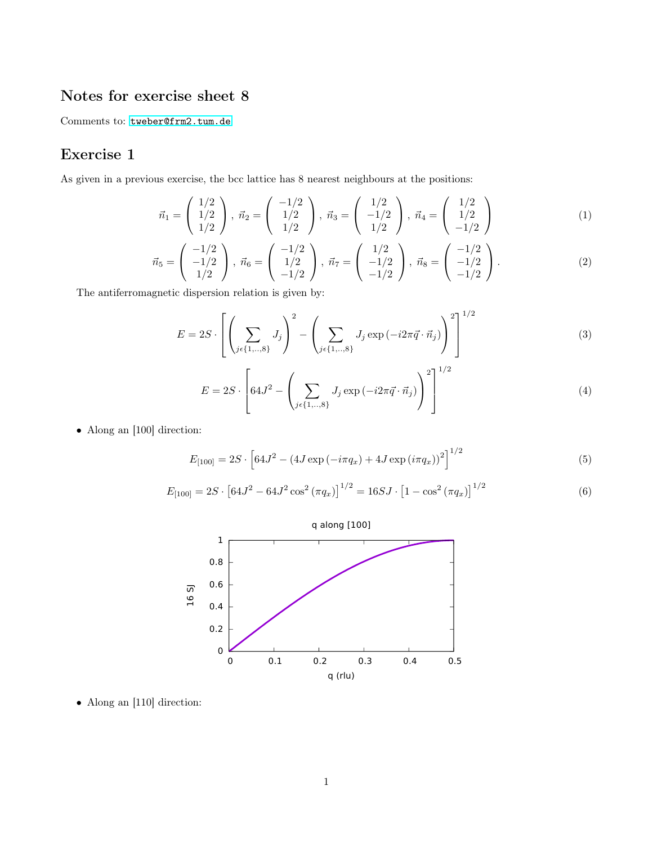## Notes for exercise sheet 8

Comments to: <tweber@frm2.tum.de>

## Exercise 1

As given in a previous exercise, the bcc lattice has 8 nearest neighbours at the positions:

$$
\vec{n}_1 = \begin{pmatrix} 1/2 \\ 1/2 \\ 1/2 \end{pmatrix}, \ \vec{n}_2 = \begin{pmatrix} -1/2 \\ 1/2 \\ 1/2 \end{pmatrix}, \ \vec{n}_3 = \begin{pmatrix} 1/2 \\ -1/2 \\ 1/2 \end{pmatrix}, \ \vec{n}_4 = \begin{pmatrix} 1/2 \\ 1/2 \\ -1/2 \end{pmatrix}
$$
(1)

$$
\vec{n}_5 = \begin{pmatrix} -1/2 \\ -1/2 \\ 1/2 \end{pmatrix}, \ \vec{n}_6 = \begin{pmatrix} -1/2 \\ 1/2 \\ -1/2 \end{pmatrix}, \ \vec{n}_7 = \begin{pmatrix} 1/2 \\ -1/2 \\ -1/2 \end{pmatrix}, \ \vec{n}_8 = \begin{pmatrix} -1/2 \\ -1/2 \\ -1/2 \end{pmatrix}.
$$
 (2)

The antiferromagnetic dispersion relation is given by:

$$
E = 2S \cdot \left[ \left( \sum_{j \in \{1, \ldots, 8\}} J_j \right)^2 - \left( \sum_{j \in \{1, \ldots, 8\}} J_j \exp(-i2\pi \vec{q} \cdot \vec{n}_j) \right)^2 \right]^{1/2}
$$
(3)

$$
E = 2S \cdot \left[ 64J^2 - \left( \sum_{j \in \{1, \dots, 8\}} J_j \exp(-i2\pi \vec{q} \cdot \vec{n}_j) \right)^2 \right]^{1/2}
$$
(4)

• Along an [100] direction:

$$
E_{[100]} = 2S \cdot \left[ 64J^2 - (4J \exp(-i\pi q_x) + 4J \exp(i\pi q_x))^2 \right]^{1/2}
$$
 (5)

$$
E_{[100]} = 2S \cdot [64J^2 - 64J^2 \cos^2(\pi q_x)]^{1/2} = 16SJ \cdot [1 - \cos^2(\pi q_x)]^{1/2}
$$
 (6)



• Along an [110] direction: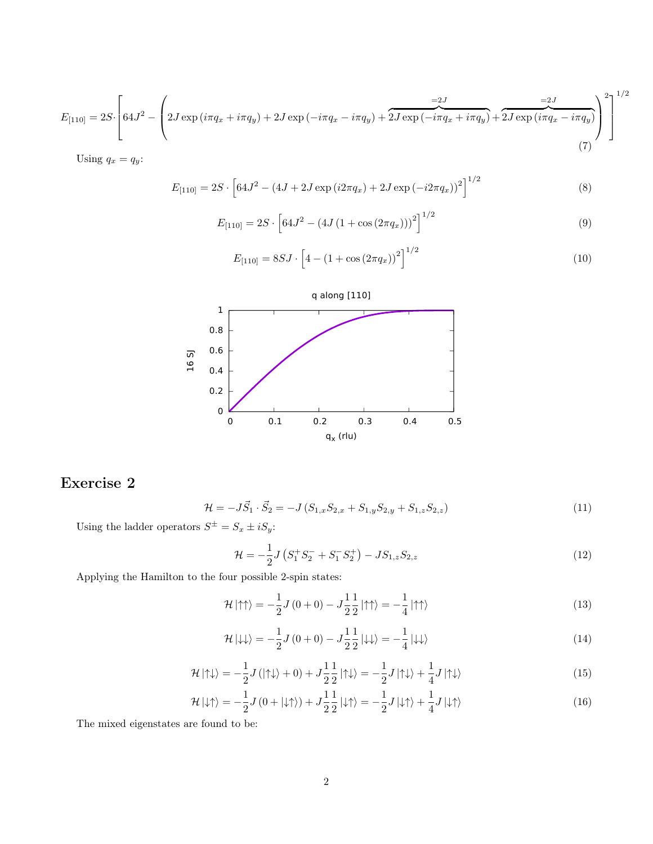$$
E_{[110]} = 2S \cdot \left[ 64J^2 - \left( 2J \exp\left(i\pi q_x + i\pi q_y\right) + 2J \exp\left(-i\pi q_x - i\pi q_y\right) + \overbrace{2J \exp\left(-i\pi q_x + i\pi q_y\right)}^{=2J} + \overbrace{2J \exp\left(i\pi q_x - i\pi q_y\right)}^{=2J} \right)^2 \right]^{1/2}
$$
\n(7)

Using  $q_x = q_y$ :

$$
E_{[110]} = 2S \cdot \left[ 64J^2 - (4J + 2J \exp(i2\pi q_x) + 2J \exp(-i2\pi q_x))^2 \right]^{1/2}
$$
\n(8)

$$
E_{[110]} = 2S \cdot \left[ 64J^2 - (4J(1 + \cos(2\pi q_x)))^2 \right]^{1/2}
$$
\n(9)

$$
E_{[110]} = 8SJ \cdot \left[4 - \left(1 + \cos\left(2\pi q_x\right)\right)^2\right]^{1/2} \tag{10}
$$



## Exercise 2

$$
\mathcal{H} = -J\vec{S}_1 \cdot \vec{S}_2 = -J\left(S_{1,x}S_{2,x} + S_{1,y}S_{2,y} + S_{1,z}S_{2,z}\right) \tag{11}
$$

Using the ladder operators  $S^{\pm} = S_x \pm iS_y$ :

$$
\mathcal{H} = -\frac{1}{2}J\left(S_1^+S_2^- + S_1^-S_2^+\right) - JS_{1,z}S_{2,z}
$$
\n<sup>(12)</sup>

Applying the Hamilton to the four possible 2-spin states:

$$
\mathcal{H} \left| \uparrow \uparrow \right\rangle = -\frac{1}{2} J \left( 0 + 0 \right) - J \frac{1}{2} \frac{1}{2} \left| \uparrow \uparrow \right\rangle = -\frac{1}{4} \left| \uparrow \uparrow \right\rangle \tag{13}
$$

$$
\mathcal{H}|\downarrow\downarrow\rangle = -\frac{1}{2}J(0+0) - J\frac{1}{2}\frac{1}{2}|\downarrow\downarrow\rangle = -\frac{1}{4}|\downarrow\downarrow\rangle
$$
\n(14)

$$
\mathcal{H} \left| \uparrow \downarrow \right\rangle = -\frac{1}{2} J \left( \left| \uparrow \downarrow \right\rangle + 0 \right) + J \frac{1}{2} \frac{1}{2} \left| \uparrow \downarrow \right\rangle = -\frac{1}{2} J \left| \uparrow \downarrow \right\rangle + \frac{1}{4} J \left| \uparrow \downarrow \right\rangle \tag{15}
$$

$$
\mathcal{H}|\downarrow\uparrow\rangle = -\frac{1}{2}J\left(0+|\downarrow\uparrow\rangle\right) + J\frac{1}{2}\frac{1}{2}|\downarrow\uparrow\rangle = -\frac{1}{2}J|\downarrow\uparrow\rangle + \frac{1}{4}J|\downarrow\uparrow\rangle\tag{16}
$$

The mixed eigenstates are found to be: